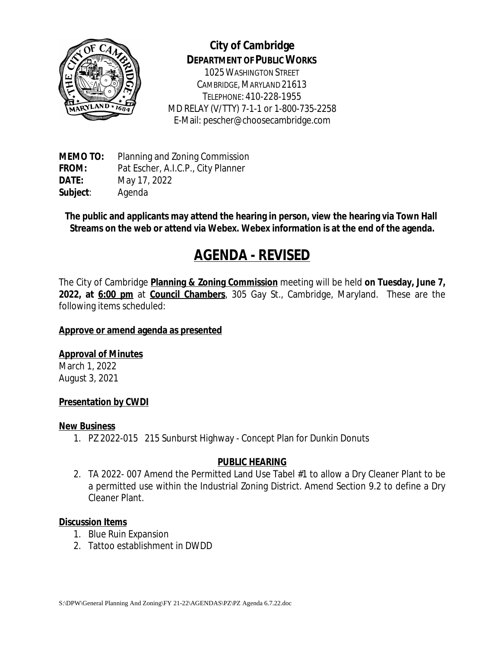

# **City of Cambridge DEPARTMENT OF PUBLIC WORKS**

1025WASHINGTON STREET CAMBRIDGE, MARYLAND 21613 TELEPHONE: 410-228-1955 MD RELAY (V/TTY) 7-1-1 or 1-800-735-2258 E-Mail: pescher@choosecambridge.com

**MEMO TO:** Planning and Zoning Commission **FROM:** Pat Escher, A.I.C.P., City Planner **DATE:** May 17, 2022 **Subject**: Agenda

**The public and applicants may attend the hearing in person, view the hearing via Town Hall Streams on the web or attend via Webex. Webex information is at the end of the agenda.**

# **AGENDA - REVISED**

The City of Cambridge **Planning & Zoning Commission** meeting will be held **on Tuesday, June 7, 2022, at 6:00 pm** at **Council Chambers**, 305 Gay St., Cambridge, Maryland. These are the following items scheduled:

#### **Approve or amend agenda as presented**

## **Approval of Minutes**

March 1, 2022 August 3, 2021

#### **Presentation by CWDI**

#### **New Business**

1. PZ 2022-015 215 Sunburst Highway - Concept Plan for Dunkin Donuts

#### **PUBLIC HEARING**

2. TA 2022- 007 Amend the Permitted Land Use Tabel #1 to allow a Dry Cleaner Plant to be a permitted use within the Industrial Zoning District. Amend Section 9.2 to define a Dry Cleaner Plant.

#### **Discussion Items**

- 1. Blue Ruin Expansion
- 2. Tattoo establishment in DWDD